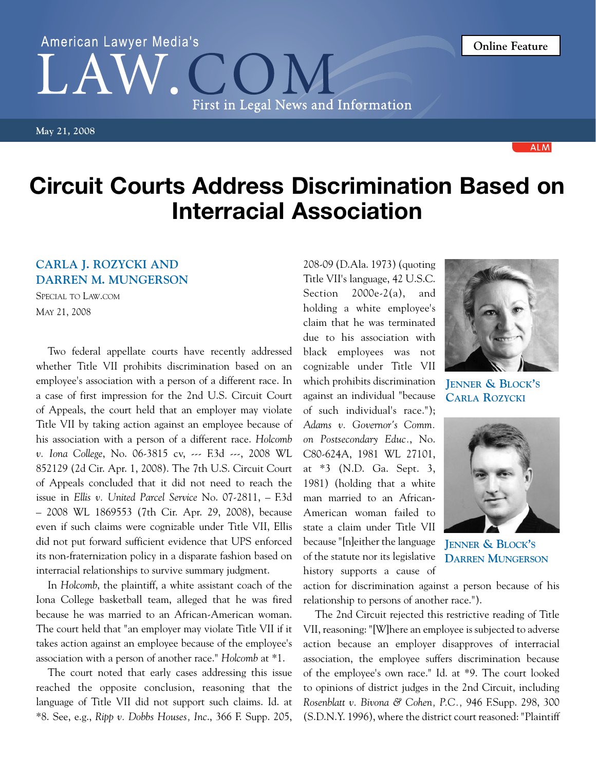## Circuit Courts Address Discrimination Based on Interracial Association

## **Carla J. Rozycki and Darren M. Mungerson**

Special to Law.com May 21, 2008

Two federal appellate courts have recently addressed whether Title VII prohibits discrimination based on an employee's association with a person of a different race. In a case of first impression for the 2nd U.S. Circuit Court of Appeals, the court held that an employer may violate Title VII by taking action against an employee because of his association with a person of a different race. *Holcomb v. Iona College*, No. 06-3815 cv, --- F.3d ---, 2008 WL 852129 (2d Cir. Apr. 1, 2008). The 7th U.S. Circuit Court of Appeals concluded that it did not need to reach the issue in *Ellis v. United Parcel Service* No. 07-2811, – F.3d – 2008 WL 1869553 (7th Cir. Apr. 29, 2008), because even if such claims were cognizable under Title VII, Ellis did not put forward sufficient evidence that UPS enforced its non-fraternization policy in a disparate fashion based on interracial relationships to survive summary judgment.

In *Holcomb*, the plaintiff, a white assistant coach of the Iona College basketball team, alleged that he was fired because he was married to an African-American woman. The court held that "an employer may violate Title VII if it takes action against an employee because of the employee's association with a person of another race." *Holcomb* at \*1.

The court noted that early cases addressing this issue reached the opposite conclusion, reasoning that the language of Title VII did not support such claims. Id. at \*8. See, e.g., *Ripp v. Dobbs Houses, Inc*., 366 F. Supp. 205,

208-09 (D.Ala. 1973) (quoting Title VII's language, 42 U.S.C. Section 2000e-2(a), and holding a white employee's claim that he was terminated due to his association with black employees was not cognizable under Title VII which prohibits discrimination against an individual "because of such individual's race."); *Adams v. Governor's Comm. on Postsecondary Educ.*, No. C80-624A, 1981 WL 27101, at \*3 (N.D. Ga. Sept. 3, 1981) (holding that a white man married to an African-American woman failed to state a claim under Title VII because "[n]either the language of the statute nor its legislative history supports a cause of

**Jenner & Block's Carla Rozycki**



action for discrimination against a person because of his relationship to persons of another race.").

The 2nd Circuit rejected this restrictive reading of Title VII, reasoning: "[W]here an employee is subjected to adverse action because an employer disapproves of interracial association, the employee suffers discrimination because of the employee's own race." Id. at \*9. The court looked to opinions of district judges in the 2nd Circuit, including *Rosenblatt v. Bivona & Cohen, P.C.,* 946 F.Supp. 298, 300 (S.D.N.Y. 1996), where the district court reasoned: "Plaintiff

## First in Legal News and Information **May 21, 2008**







## American Lawyer Media's

**Online Feature**